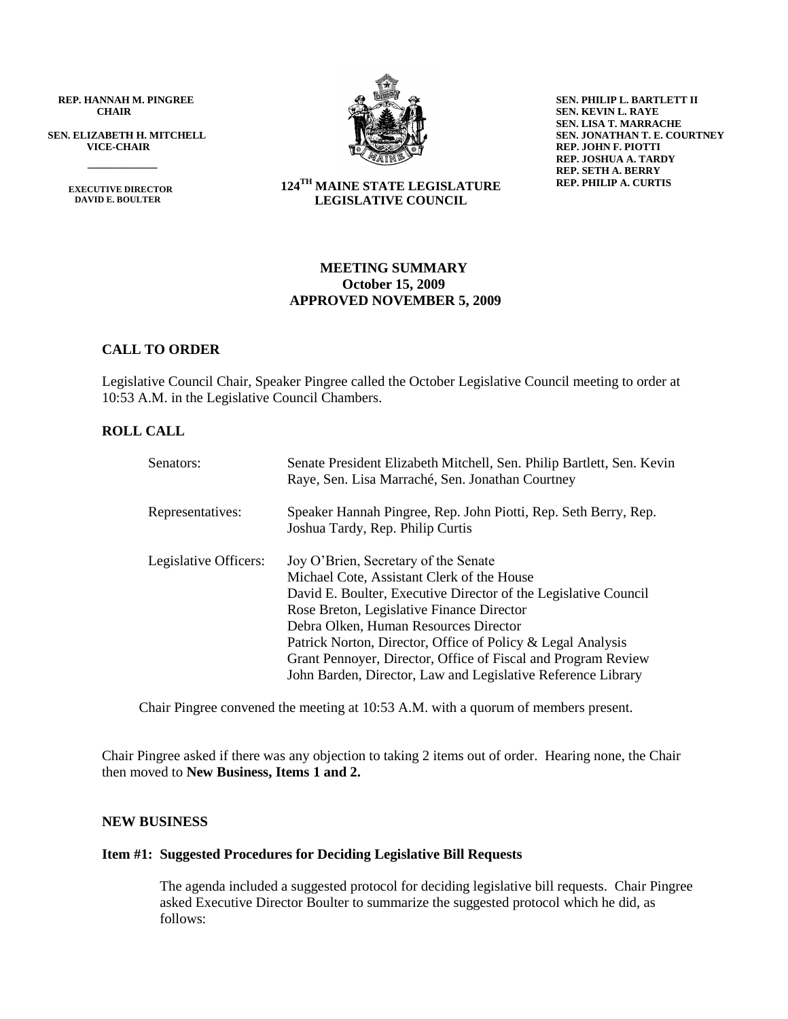**REP. HANNAH M. PINGREE CHAIR**

**SEN. ELIZABETH H. MITCHELL VICE-CHAIR**

> **EXECUTIVE DIRECTOR DAVID E. BOULTER**

 $\frac{1}{\sqrt{2}}$ 



**SEN. PHILIP L. BARTLETT II SEN. KEVIN L. RAYE SEN. LISA T. MARRACHE SEN. JONATHAN T. E. COURTNEY REP. JOHN F. PIOTTI REP. JOSHUA A. TARDY REP. SETH A. BERRY REP. PHILIP A. CURTIS**

**124TH MAINE STATE LEGISLATURE LEGISLATIVE COUNCIL**

## **MEETING SUMMARY October 15, 2009 APPROVED NOVEMBER 5, 2009**

## **CALL TO ORDER**

Legislative Council Chair, Speaker Pingree called the October Legislative Council meeting to order at 10:53 A.M. in the Legislative Council Chambers.

## **ROLL CALL**

| Senators:             | Senate President Elizabeth Mitchell, Sen. Philip Bartlett, Sen. Kevin<br>Raye, Sen. Lisa Marraché, Sen. Jonathan Courtney                                                                                                                                                                                                                                                                                                                   |
|-----------------------|---------------------------------------------------------------------------------------------------------------------------------------------------------------------------------------------------------------------------------------------------------------------------------------------------------------------------------------------------------------------------------------------------------------------------------------------|
| Representatives:      | Speaker Hannah Pingree, Rep. John Piotti, Rep. Seth Berry, Rep.<br>Joshua Tardy, Rep. Philip Curtis                                                                                                                                                                                                                                                                                                                                         |
| Legislative Officers: | Joy O'Brien, Secretary of the Senate<br>Michael Cote, Assistant Clerk of the House<br>David E. Boulter, Executive Director of the Legislative Council<br>Rose Breton, Legislative Finance Director<br>Debra Olken, Human Resources Director<br>Patrick Norton, Director, Office of Policy & Legal Analysis<br>Grant Pennoyer, Director, Office of Fiscal and Program Review<br>John Barden, Director, Law and Legislative Reference Library |

Chair Pingree convened the meeting at 10:53 A.M. with a quorum of members present.

Chair Pingree asked if there was any objection to taking 2 items out of order. Hearing none, the Chair then moved to **New Business, Items 1 and 2.**

## **NEW BUSINESS**

## **Item #1: Suggested Procedures for Deciding Legislative Bill Requests**

The agenda included a suggested protocol for deciding legislative bill requests. Chair Pingree asked Executive Director Boulter to summarize the suggested protocol which he did, as follows: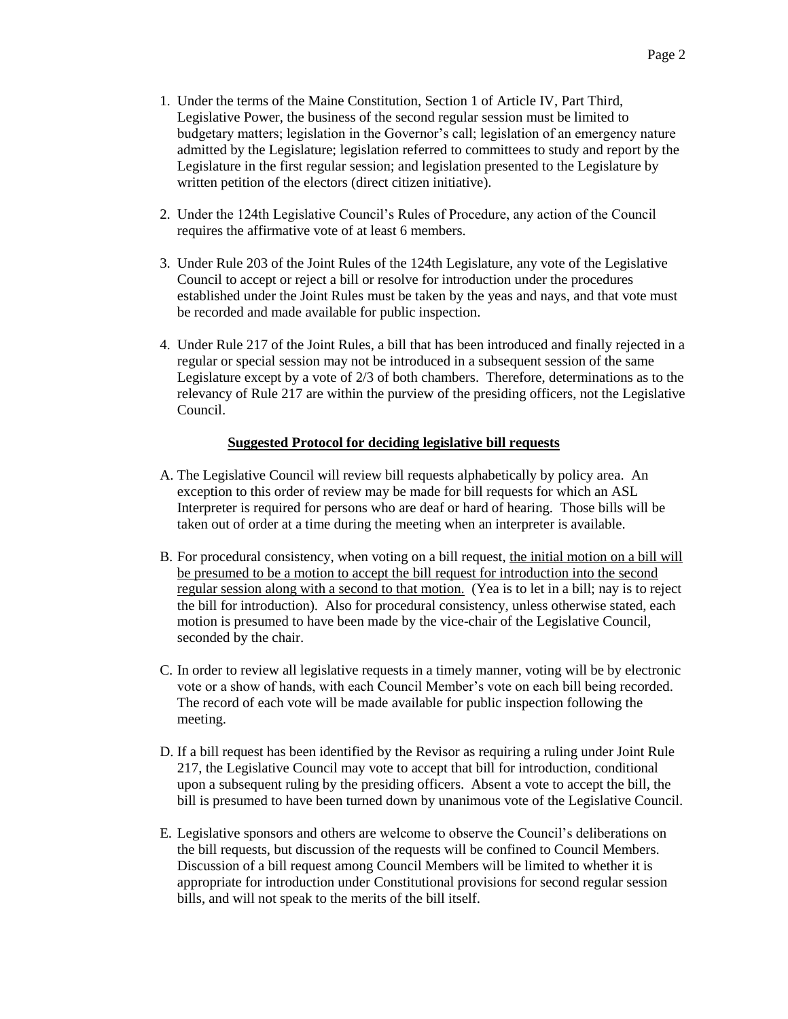- 1. Under the terms of the Maine Constitution, Section 1 of Article IV, Part Third, Legislative Power, the business of the second regular session must be limited to budgetary matters; legislation in the Governor's call; legislation of an emergency nature admitted by the Legislature; legislation referred to committees to study and report by the Legislature in the first regular session; and legislation presented to the Legislature by written petition of the electors (direct citizen initiative).
- 2. Under the 124th Legislative Council's Rules of Procedure, any action of the Council requires the affirmative vote of at least 6 members.
- 3. Under Rule 203 of the Joint Rules of the 124th Legislature, any vote of the Legislative Council to accept or reject a bill or resolve for introduction under the procedures established under the Joint Rules must be taken by the yeas and nays, and that vote must be recorded and made available for public inspection.
- 4. Under Rule 217 of the Joint Rules, a bill that has been introduced and finally rejected in a regular or special session may not be introduced in a subsequent session of the same Legislature except by a vote of 2/3 of both chambers. Therefore, determinations as to the relevancy of Rule 217 are within the purview of the presiding officers, not the Legislative Council.

## **Suggested Protocol for deciding legislative bill requests**

- A. The Legislative Council will review bill requests alphabetically by policy area. An exception to this order of review may be made for bill requests for which an ASL Interpreter is required for persons who are deaf or hard of hearing. Those bills will be taken out of order at a time during the meeting when an interpreter is available.
- B. For procedural consistency, when voting on a bill request, the initial motion on a bill will be presumed to be a motion to accept the bill request for introduction into the second regular session along with a second to that motion. (Yea is to let in a bill; nay is to reject the bill for introduction). Also for procedural consistency, unless otherwise stated, each motion is presumed to have been made by the vice-chair of the Legislative Council, seconded by the chair.
- C. In order to review all legislative requests in a timely manner, voting will be by electronic vote or a show of hands, with each Council Member's vote on each bill being recorded. The record of each vote will be made available for public inspection following the meeting.
- D. If a bill request has been identified by the Revisor as requiring a ruling under Joint Rule 217, the Legislative Council may vote to accept that bill for introduction, conditional upon a subsequent ruling by the presiding officers. Absent a vote to accept the bill, the bill is presumed to have been turned down by unanimous vote of the Legislative Council.
- E. Legislative sponsors and others are welcome to observe the Council's deliberations on the bill requests, but discussion of the requests will be confined to Council Members. Discussion of a bill request among Council Members will be limited to whether it is appropriate for introduction under Constitutional provisions for second regular session bills, and will not speak to the merits of the bill itself.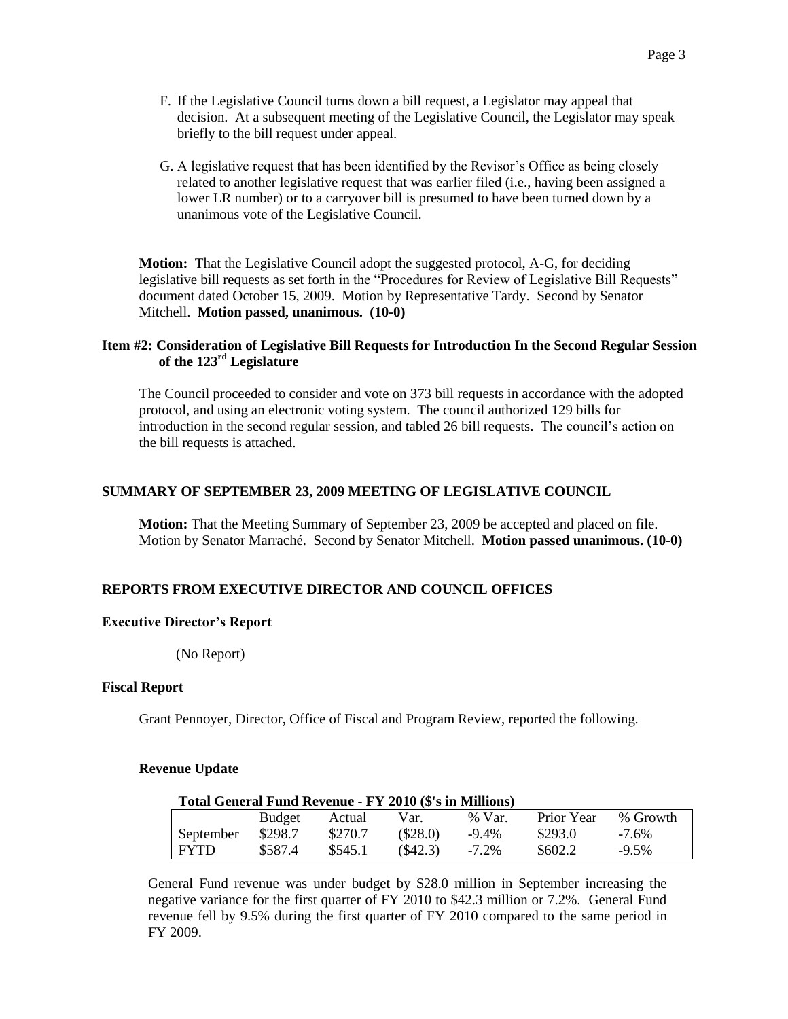- F. If the Legislative Council turns down a bill request, a Legislator may appeal that decision. At a subsequent meeting of the Legislative Council, the Legislator may speak briefly to the bill request under appeal.
- G. A legislative request that has been identified by the Revisor's Office as being closely related to another legislative request that was earlier filed (i.e., having been assigned a lower LR number) or to a carryover bill is presumed to have been turned down by a unanimous vote of the Legislative Council.

**Motion:** That the Legislative Council adopt the suggested protocol, A-G, for deciding legislative bill requests as set forth in the "Procedures for Review of Legislative Bill Requests" document dated October 15, 2009. Motion by Representative Tardy. Second by Senator Mitchell. **Motion passed, unanimous. (10-0)**

## **Item #2: Consideration of Legislative Bill Requests for Introduction In the Second Regular Session of the 123rd Legislature**

The Council proceeded to consider and vote on 373 bill requests in accordance with the adopted protocol, and using an electronic voting system. The council authorized 129 bills for introduction in the second regular session, and tabled 26 bill requests. The council's action on the bill requests is attached.

## **SUMMARY OF SEPTEMBER 23, 2009 MEETING OF LEGISLATIVE COUNCIL**

**Motion:** That the Meeting Summary of September 23, 2009 be accepted and placed on file. Motion by Senator Marraché. Second by Senator Mitchell. **Motion passed unanimous. (10-0)**

## **REPORTS FROM EXECUTIVE DIRECTOR AND COUNCIL OFFICES**

## **Executive Director's Report**

(No Report)

## **Fiscal Report**

Grant Pennoyer, Director, Office of Fiscal and Program Review, reported the following.

## **Revenue Update**

## **Total General Fund Revenue - FY 2010 (\$'s in Millions)**

|             | <b>Budget</b> | Actual  | Var.     | % Var.   | Prior Year | % Growth |
|-------------|---------------|---------|----------|----------|------------|----------|
| September   | \$298.7       | \$270.7 | (\$28.0) | $-9.4\%$ | \$293.0    | $-7.6\%$ |
| <b>FYTD</b> | \$587.4       | \$545.1 | (S42.3)  | $-7.2\%$ | \$602.2    | -9.5%    |

General Fund revenue was under budget by \$28.0 million in September increasing the negative variance for the first quarter of FY 2010 to \$42.3 million or 7.2%. General Fund revenue fell by 9.5% during the first quarter of FY 2010 compared to the same period in FY 2009.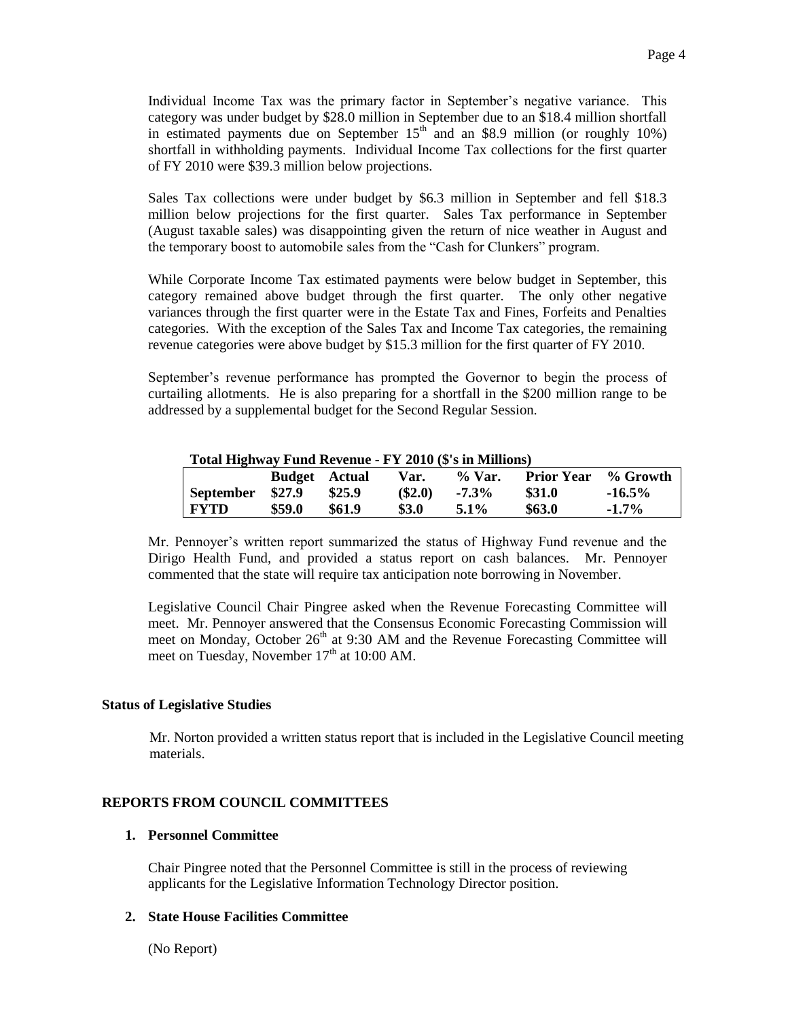Individual Income Tax was the primary factor in September's negative variance. This category was under budget by \$28.0 million in September due to an \$18.4 million shortfall in estimated payments due on September  $15<sup>th</sup>$  and an \$8.9 million (or roughly 10%) shortfall in withholding payments. Individual Income Tax collections for the first quarter of FY 2010 were \$39.3 million below projections.

Sales Tax collections were under budget by \$6.3 million in September and fell \$18.3 million below projections for the first quarter. Sales Tax performance in September (August taxable sales) was disappointing given the return of nice weather in August and the temporary boost to automobile sales from the "Cash for Clunkers" program.

While Corporate Income Tax estimated payments were below budget in September, this category remained above budget through the first quarter. The only other negative variances through the first quarter were in the Estate Tax and Fines, Forfeits and Penalties categories. With the exception of the Sales Tax and Income Tax categories, the remaining revenue categories were above budget by \$15.3 million for the first quarter of FY 2010.

September's revenue performance has prompted the Governor to begin the process of curtailing allotments. He is also preparing for a shortfall in the \$200 million range to be addressed by a supplemental budget for the Second Regular Session.

| TUMI INŽIIWAY FUNU INTENDIC - FT ZUTU (9 S III MINIUMS) |                      |        |        |          |                            |           |  |
|---------------------------------------------------------|----------------------|--------|--------|----------|----------------------------|-----------|--|
|                                                         | <b>Budget</b> Actual |        | Var.   | % Var.   | <b>Prior Year</b> % Growth |           |  |
| September \$27.9                                        |                      | \$25.9 | (S2.0) | $-7.3\%$ | \$31.0                     | $-16.5\%$ |  |
| FYTD                                                    | \$59.0               | \$61.9 | \$3.0  | $5.1\%$  | \$63.0\$                   | $-1.7\%$  |  |

#### **Total Highway Fund Revenue - FY 2010 (\$'s in Millions)**

Mr. Pennoyer's written report summarized the status of Highway Fund revenue and the Dirigo Health Fund, and provided a status report on cash balances. Mr. Pennoyer commented that the state will require tax anticipation note borrowing in November.

Legislative Council Chair Pingree asked when the Revenue Forecasting Committee will meet. Mr. Pennoyer answered that the Consensus Economic Forecasting Commission will meet on Monday, October  $26<sup>th</sup>$  at 9:30 AM and the Revenue Forecasting Committee will meet on Tuesday, November  $17<sup>th</sup>$  at 10:00 AM.

## **Status of Legislative Studies**

Mr. Norton provided a written status report that is included in the Legislative Council meeting materials.

## **REPORTS FROM COUNCIL COMMITTEES**

#### **1. Personnel Committee**

Chair Pingree noted that the Personnel Committee is still in the process of reviewing applicants for the Legislative Information Technology Director position.

## **2. State House Facilities Committee**

(No Report)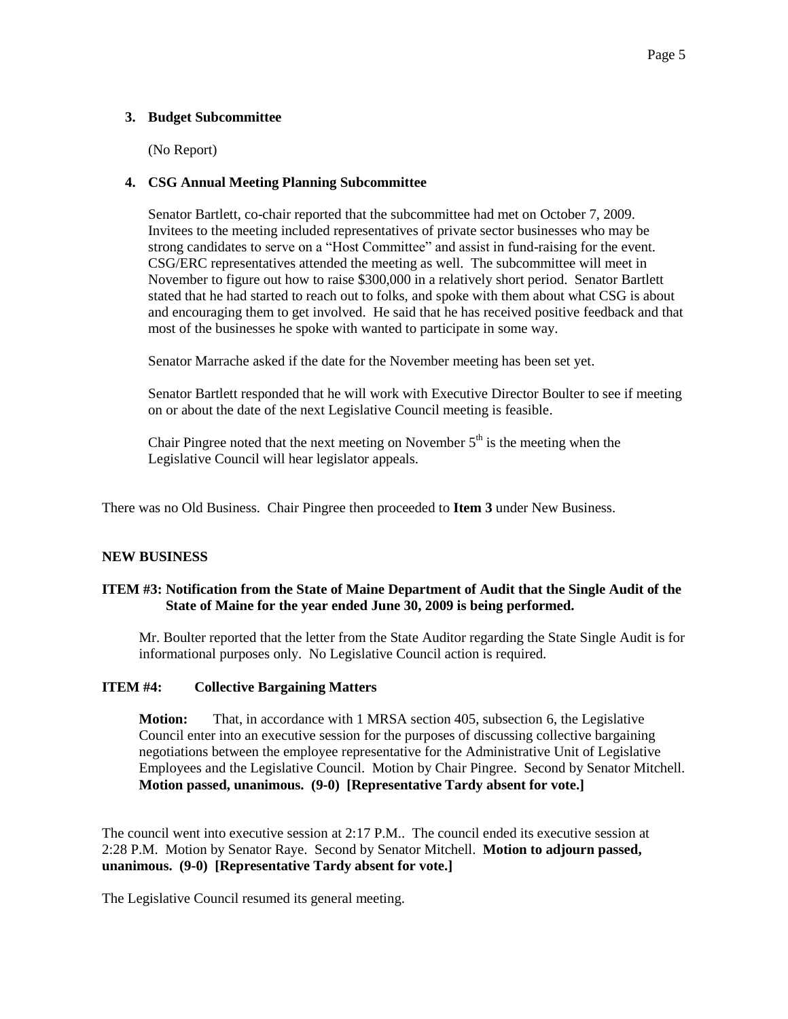## **3. Budget Subcommittee**

(No Report)

## **4. CSG Annual Meeting Planning Subcommittee**

Senator Bartlett, co-chair reported that the subcommittee had met on October 7, 2009. Invitees to the meeting included representatives of private sector businesses who may be strong candidates to serve on a "Host Committee" and assist in fund-raising for the event. CSG/ERC representatives attended the meeting as well. The subcommittee will meet in November to figure out how to raise \$300,000 in a relatively short period. Senator Bartlett stated that he had started to reach out to folks, and spoke with them about what CSG is about and encouraging them to get involved. He said that he has received positive feedback and that most of the businesses he spoke with wanted to participate in some way.

Senator Marrache asked if the date for the November meeting has been set yet.

Senator Bartlett responded that he will work with Executive Director Boulter to see if meeting on or about the date of the next Legislative Council meeting is feasible.

Chair Pingree noted that the next meeting on November  $5<sup>th</sup>$  is the meeting when the Legislative Council will hear legislator appeals.

There was no Old Business. Chair Pingree then proceeded to **Item 3** under New Business.

## **NEW BUSINESS**

## **ITEM #3: Notification from the State of Maine Department of Audit that the Single Audit of the State of Maine for the year ended June 30, 2009 is being performed.**

Mr. Boulter reported that the letter from the State Auditor regarding the State Single Audit is for informational purposes only. No Legislative Council action is required.

## **ITEM #4: Collective Bargaining Matters**

**Motion:** That, in accordance with 1 MRSA section 405, subsection 6, the Legislative Council enter into an executive session for the purposes of discussing collective bargaining negotiations between the employee representative for the Administrative Unit of Legislative Employees and the Legislative Council. Motion by Chair Pingree. Second by Senator Mitchell. **Motion passed, unanimous. (9-0) [Representative Tardy absent for vote.]**

The council went into executive session at 2:17 P.M.. The council ended its executive session at 2:28 P.M. Motion by Senator Raye. Second by Senator Mitchell. **Motion to adjourn passed, unanimous. (9-0) [Representative Tardy absent for vote.]**

The Legislative Council resumed its general meeting.